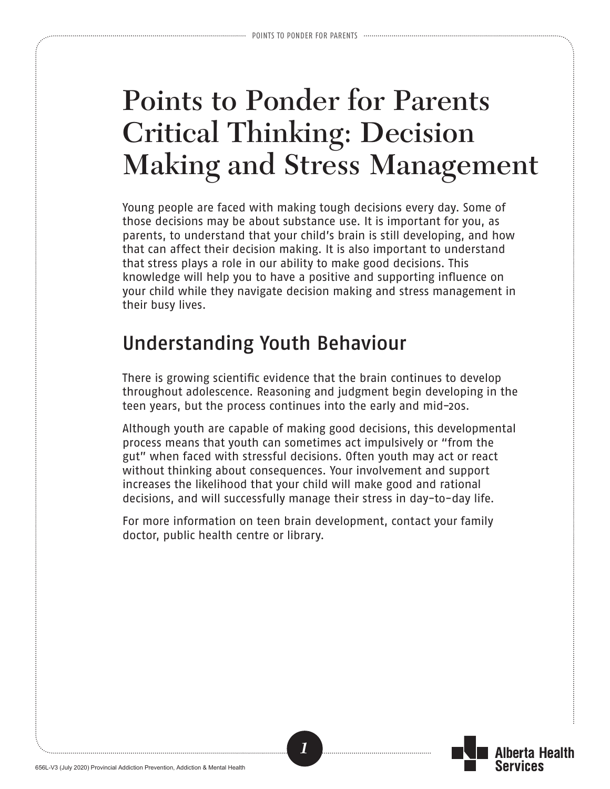## **Points to Ponder for Parents Critical Thinking: Decision Making and Stress Management**

Young people are faced with making tough decisions every day. Some of those decisions may be about substance use. It is important for you, as parents, to understand that your child's brain is still developing, and how that can affect their decision making. It is also important to understand that stress plays a role in our ability to make good decisions. This knowledge will help you to have a positive and supporting influence on your child while they navigate decision making and stress management in their busy lives.

## Understanding Youth Behaviour

There is growing scientific evidence that the brain continues to develop throughout adolescence. Reasoning and judgment begin developing in the teen years, but the process continues into the early and mid-20s.

Although youth are capable of making good decisions, this developmental process means that youth can sometimes act impulsively or "from the gut" when faced with stressful decisions. Often youth may act or react without thinking about consequences. Your involvement and support increases the likelihood that your child will make good and rational decisions, and will successfully manage their stress in day-to-day life.

For more information on teen brain development, contact your family doctor, public health centre or library.

*1*

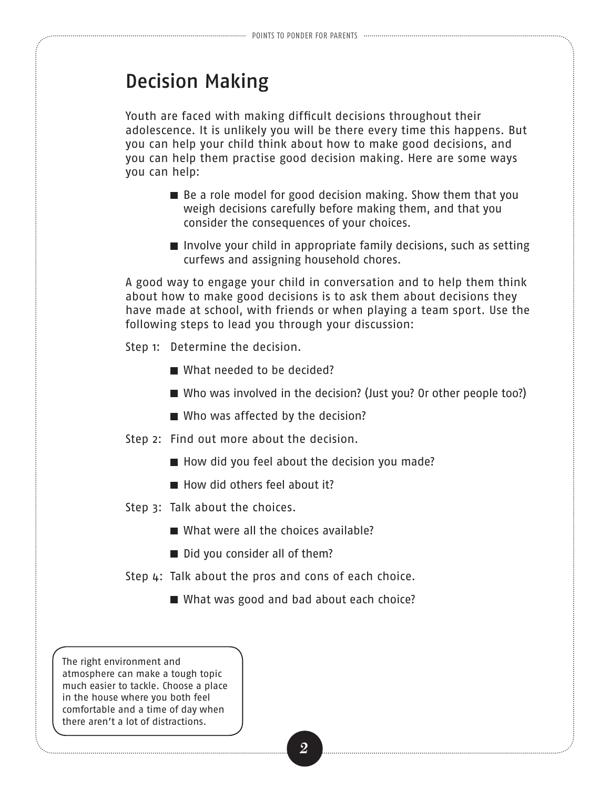## Decision Making

Youth are faced with making difficult decisions throughout their adolescence. It is unlikely you will be there every time this happens. But you can help your child think about how to make good decisions, and you can help them practise good decision making. Here are some ways you can help:

- Be a role model for good decision making. Show them that you weigh decisions carefully before making them, and that you consider the consequences of your choices.
- $\blacksquare$  Involve your child in appropriate family decisions, such as setting curfews and assigning household chores.

A good way to engage your child in conversation and to help them think about how to make good decisions is to ask them about decisions they have made at school, with friends or when playing a team sport. Use the following steps to lead you through your discussion:

Step 1: Determine the decision.

- What needed to be decided?
- Who was involved in the decision? (Just you? Or other people too?)
- Who was affected by the decision?
- Step 2: Find out more about the decision.
	- How did you feel about the decision you made?
	- How did others feel about it?
- Step 3: Talk about the choices.
	- What were all the choices available?
	- Did you consider all of them?
- Step 4: Talk about the pros and cons of each choice.
	- What was good and bad about each choice?

The right environment and atmosphere can make a tough topic much easier to tackle. Choose a place in the house where you both feel comfortable and a time of day when there aren't a lot of distractions.